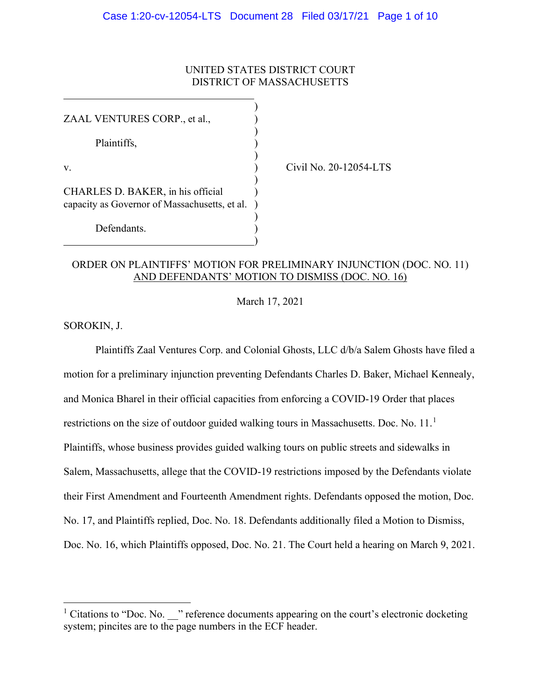## UNITED STATES DISTRICT COURT DISTRICT OF MASSACHUSETTS

)

)

)

)

)

)

ZAAL VENTURES CORP., et al.,

Plaintiffs, )

CHARLES D. BAKER, in his official ) capacity as Governor of Massachusetts, et al. )

Defendants.

v. ) Civil No. 20-12054-LTS

## ORDER ON PLAINTIFFS' MOTION FOR PRELIMINARY INJUNCTION (DOC. NO. 11) AND DEFENDANTS' MOTION TO DISMISS (DOC. NO. 16)

March 17, 2021

SOROKIN, J.

Plaintiffs Zaal Ventures Corp. and Colonial Ghosts, LLC d/b/a Salem Ghosts have filed a motion for a preliminary injunction preventing Defendants Charles D. Baker, Michael Kennealy, and Monica Bharel in their official capacities from enforcing a COVID-19 Order that places restrictions on the size of outdoor guided walking tours in Massachusetts. Doc. No. 11.<sup>1</sup> Plaintiffs, whose business provides guided walking tours on public streets and sidewalks in Salem, Massachusetts, allege that the COVID-19 restrictions imposed by the Defendants violate their First Amendment and Fourteenth Amendment rights. Defendants opposed the motion, Doc. No. 17, and Plaintiffs replied, Doc. No. 18. Defendants additionally filed a Motion to Dismiss, Doc. No. 16, which Plaintiffs opposed, Doc. No. 21. The Court held a hearing on March 9, 2021.

<sup>&</sup>lt;sup>1</sup> Citations to "Doc. No.  $\cdot$ " reference documents appearing on the court's electronic docketing system; pincites are to the page numbers in the ECF header.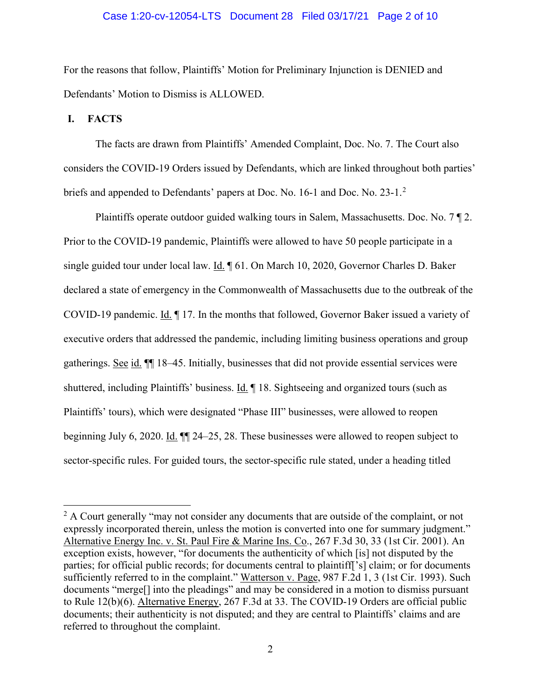#### Case 1:20-cv-12054-LTS Document 28 Filed 03/17/21 Page 2 of 10

For the reasons that follow, Plaintiffs' Motion for Preliminary Injunction is DENIED and Defendants' Motion to Dismiss is ALLOWED.

#### **I. FACTS**

The facts are drawn from Plaintiffs' Amended Complaint, Doc. No. 7. The Court also considers the COVID-19 Orders issued by Defendants, which are linked throughout both parties' briefs and appended to Defendants' papers at Doc. No. 16-1 and Doc. No. 23-1.<sup>2</sup>

Plaintiffs operate outdoor guided walking tours in Salem, Massachusetts. Doc. No. 7 ¶ 2. Prior to the COVID-19 pandemic, Plaintiffs were allowed to have 50 people participate in a single guided tour under local law. Id. 161. On March 10, 2020, Governor Charles D. Baker declared a state of emergency in the Commonwealth of Massachusetts due to the outbreak of the COVID-19 pandemic. Id. ¶ 17. In the months that followed, Governor Baker issued a variety of executive orders that addressed the pandemic, including limiting business operations and group gatherings. See id. ¶¶ 18–45. Initially, businesses that did not provide essential services were shuttered, including Plaintiffs' business. Id. 18. Sightseeing and organized tours (such as Plaintiffs' tours), which were designated "Phase III" businesses, were allowed to reopen beginning July 6, 2020. Id. ¶¶ 24–25, 28. These businesses were allowed to reopen subject to sector-specific rules. For guided tours, the sector-specific rule stated, under a heading titled

 $2 A$  Court generally "may not consider any documents that are outside of the complaint, or not expressly incorporated therein, unless the motion is converted into one for summary judgment." Alternative Energy Inc. v. St. Paul Fire & Marine Ins. Co., 267 F.3d 30, 33 (1st Cir. 2001). An exception exists, however, "for documents the authenticity of which [is] not disputed by the parties; for official public records; for documents central to plaintiff['s] claim; or for documents sufficiently referred to in the complaint." Watterson v. Page, 987 F.2d 1, 3 (1st Cir. 1993). Such documents "merge[] into the pleadings" and may be considered in a motion to dismiss pursuant to Rule 12(b)(6). Alternative Energy, 267 F.3d at 33. The COVID-19 Orders are official public documents; their authenticity is not disputed; and they are central to Plaintiffs' claims and are referred to throughout the complaint.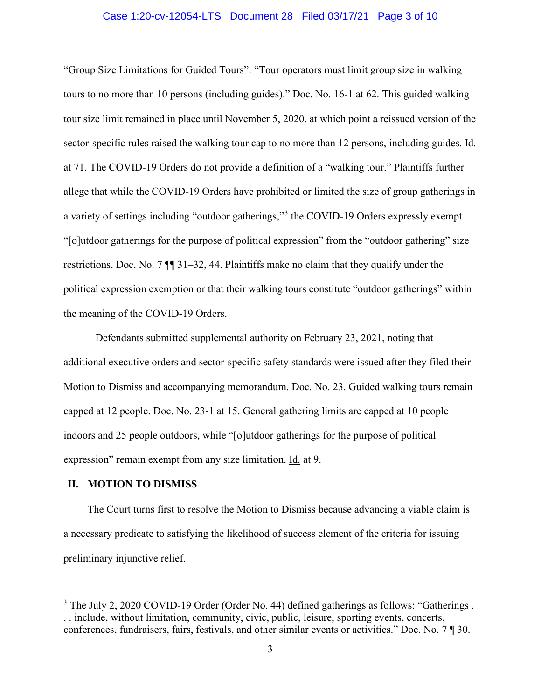#### Case 1:20-cv-12054-LTS Document 28 Filed 03/17/21 Page 3 of 10

"Group Size Limitations for Guided Tours": "Tour operators must limit group size in walking tours to no more than 10 persons (including guides)." Doc. No. 16-1 at 62. This guided walking tour size limit remained in place until November 5, 2020, at which point a reissued version of the sector-specific rules raised the walking tour cap to no more than 12 persons, including guides. Id. at 71. The COVID-19 Orders do not provide a definition of a "walking tour." Plaintiffs further allege that while the COVID-19 Orders have prohibited or limited the size of group gatherings in a variety of settings including "outdoor gatherings,"<sup>3</sup> the COVID-19 Orders expressly exempt "[o]utdoor gatherings for the purpose of political expression" from the "outdoor gathering" size restrictions. Doc. No. 7 ¶¶ 31–32, 44. Plaintiffs make no claim that they qualify under the political expression exemption or that their walking tours constitute "outdoor gatherings" within the meaning of the COVID-19 Orders.

Defendants submitted supplemental authority on February 23, 2021, noting that additional executive orders and sector-specific safety standards were issued after they filed their Motion to Dismiss and accompanying memorandum. Doc. No. 23. Guided walking tours remain capped at 12 people. Doc. No. 23-1 at 15. General gathering limits are capped at 10 people indoors and 25 people outdoors, while "[o]utdoor gatherings for the purpose of political expression" remain exempt from any size limitation. Id. at 9.

#### **II. MOTION TO DISMISS**

The Court turns first to resolve the Motion to Dismiss because advancing a viable claim is a necessary predicate to satisfying the likelihood of success element of the criteria for issuing preliminary injunctive relief.

<sup>&</sup>lt;sup>3</sup> The July 2, 2020 COVID-19 Order (Order No. 44) defined gatherings as follows: "Gatherings. . . include, without limitation, community, civic, public, leisure, sporting events, concerts, conferences, fundraisers, fairs, festivals, and other similar events or activities." Doc. No. 7 ¶ 30.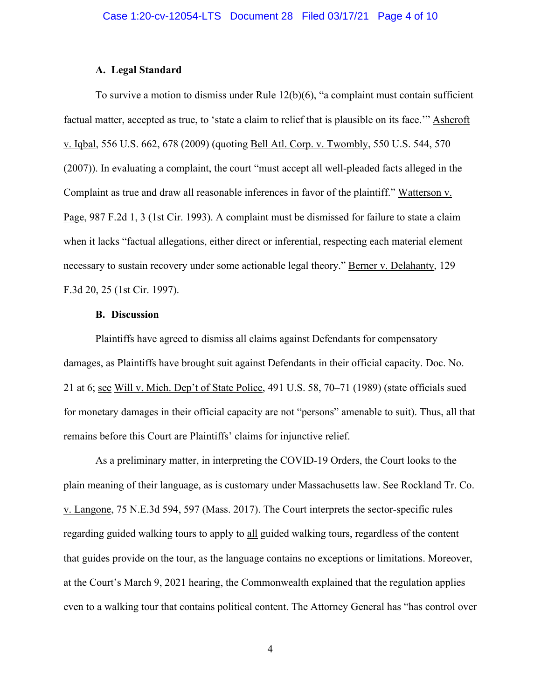#### **A. Legal Standard**

To survive a motion to dismiss under Rule  $12(b)(6)$ , "a complaint must contain sufficient factual matter, accepted as true, to 'state a claim to relief that is plausible on its face.'" Ashcroft v. Iqbal, 556 U.S. 662, 678 (2009) (quoting Bell Atl. Corp. v. Twombly, 550 U.S. 544, 570 (2007)). In evaluating a complaint, the court "must accept all well-pleaded facts alleged in the Complaint as true and draw all reasonable inferences in favor of the plaintiff." Watterson v. Page, 987 F.2d 1, 3 (1st Cir. 1993). A complaint must be dismissed for failure to state a claim when it lacks "factual allegations, either direct or inferential, respecting each material element necessary to sustain recovery under some actionable legal theory." Berner v. Delahanty, 129 F.3d 20, 25 (1st Cir. 1997).

#### **B. Discussion**

Plaintiffs have agreed to dismiss all claims against Defendants for compensatory damages, as Plaintiffs have brought suit against Defendants in their official capacity. Doc. No. 21 at 6; see Will v. Mich. Dep't of State Police, 491 U.S. 58, 70–71 (1989) (state officials sued for monetary damages in their official capacity are not "persons" amenable to suit). Thus, all that remains before this Court are Plaintiffs' claims for injunctive relief.

As a preliminary matter, in interpreting the COVID-19 Orders, the Court looks to the plain meaning of their language, as is customary under Massachusetts law. See Rockland Tr. Co. v. Langone, 75 N.E.3d 594, 597 (Mass. 2017). The Court interprets the sector-specific rules regarding guided walking tours to apply to all guided walking tours, regardless of the content that guides provide on the tour, as the language contains no exceptions or limitations. Moreover, at the Court's March 9, 2021 hearing, the Commonwealth explained that the regulation applies even to a walking tour that contains political content. The Attorney General has "has control over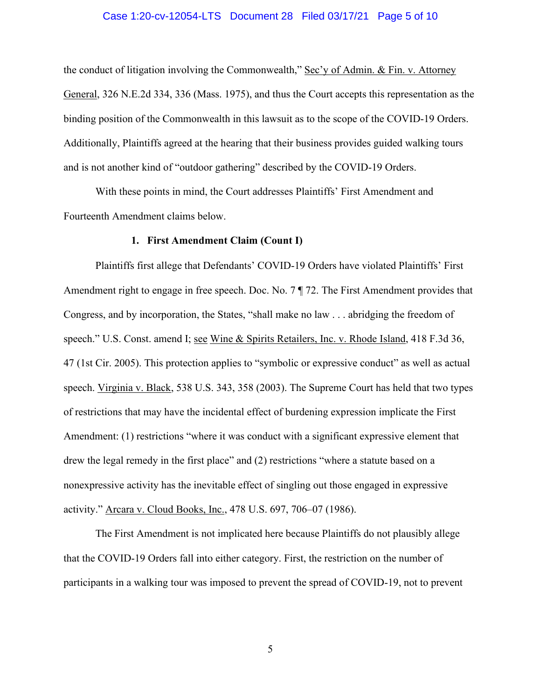#### Case 1:20-cv-12054-LTS Document 28 Filed 03/17/21 Page 5 of 10

the conduct of litigation involving the Commonwealth," Sec'y of Admin. & Fin. v. Attorney General, 326 N.E.2d 334, 336 (Mass. 1975), and thus the Court accepts this representation as the binding position of the Commonwealth in this lawsuit as to the scope of the COVID-19 Orders. Additionally, Plaintiffs agreed at the hearing that their business provides guided walking tours and is not another kind of "outdoor gathering" described by the COVID-19 Orders.

With these points in mind, the Court addresses Plaintiffs' First Amendment and Fourteenth Amendment claims below.

#### **1. First Amendment Claim (Count I)**

Plaintiffs first allege that Defendants' COVID-19 Orders have violated Plaintiffs' First Amendment right to engage in free speech. Doc. No. 7 ¶ 72. The First Amendment provides that Congress, and by incorporation, the States, "shall make no law . . . abridging the freedom of speech." U.S. Const. amend I; see Wine & Spirits Retailers, Inc. v. Rhode Island, 418 F.3d 36, 47 (1st Cir. 2005). This protection applies to "symbolic or expressive conduct" as well as actual speech. Virginia v. Black, 538 U.S. 343, 358 (2003). The Supreme Court has held that two types of restrictions that may have the incidental effect of burdening expression implicate the First Amendment: (1) restrictions "where it was conduct with a significant expressive element that drew the legal remedy in the first place" and (2) restrictions "where a statute based on a nonexpressive activity has the inevitable effect of singling out those engaged in expressive activity." Arcara v. Cloud Books, Inc., 478 U.S. 697, 706–07 (1986).

The First Amendment is not implicated here because Plaintiffs do not plausibly allege that the COVID-19 Orders fall into either category. First, the restriction on the number of participants in a walking tour was imposed to prevent the spread of COVID-19, not to prevent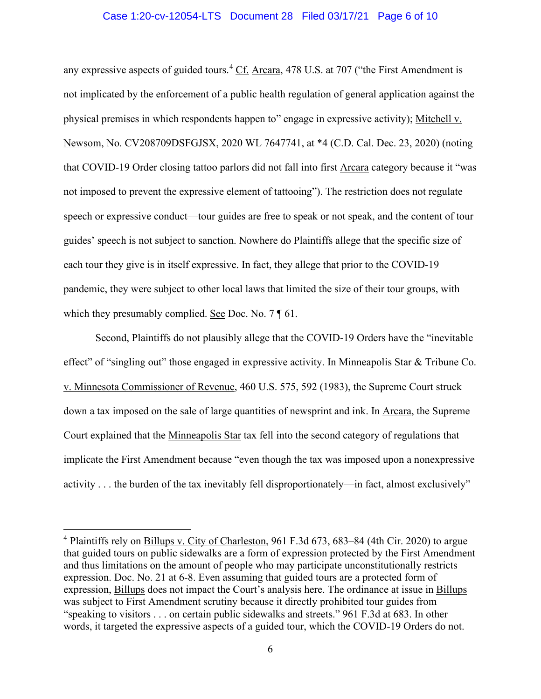#### Case 1:20-cv-12054-LTS Document 28 Filed 03/17/21 Page 6 of 10

any expressive aspects of guided tours.<sup>4</sup> Cf. Arcara, 478 U.S. at 707 ("the First Amendment is not implicated by the enforcement of a public health regulation of general application against the physical premises in which respondents happen to" engage in expressive activity); Mitchell v. Newsom, No. CV208709DSFGJSX, 2020 WL 7647741, at \*4 (C.D. Cal. Dec. 23, 2020) (noting that COVID-19 Order closing tattoo parlors did not fall into first Arcara category because it "was not imposed to prevent the expressive element of tattooing"). The restriction does not regulate speech or expressive conduct—tour guides are free to speak or not speak, and the content of tour guides' speech is not subject to sanction. Nowhere do Plaintiffs allege that the specific size of each tour they give is in itself expressive. In fact, they allege that prior to the COVID-19 pandemic, they were subject to other local laws that limited the size of their tour groups, with which they presumably complied. See Doc. No. 7 \[ 61.

Second, Plaintiffs do not plausibly allege that the COVID-19 Orders have the "inevitable effect" of "singling out" those engaged in expressive activity. In Minneapolis Star & Tribune Co. v. Minnesota Commissioner of Revenue, 460 U.S. 575, 592 (1983), the Supreme Court struck down a tax imposed on the sale of large quantities of newsprint and ink. In Arcara, the Supreme Court explained that the Minneapolis Star tax fell into the second category of regulations that implicate the First Amendment because "even though the tax was imposed upon a nonexpressive activity . . . the burden of the tax inevitably fell disproportionately—in fact, almost exclusively"

<sup>4</sup> Plaintiffs rely on Billups v. City of Charleston, 961 F.3d 673, 683–84 (4th Cir. 2020) to argue that guided tours on public sidewalks are a form of expression protected by the First Amendment and thus limitations on the amount of people who may participate unconstitutionally restricts expression. Doc. No. 21 at 6-8. Even assuming that guided tours are a protected form of expression, Billups does not impact the Court's analysis here. The ordinance at issue in Billups was subject to First Amendment scrutiny because it directly prohibited tour guides from "speaking to visitors . . . on certain public sidewalks and streets." 961 F.3d at 683. In other words, it targeted the expressive aspects of a guided tour, which the COVID-19 Orders do not.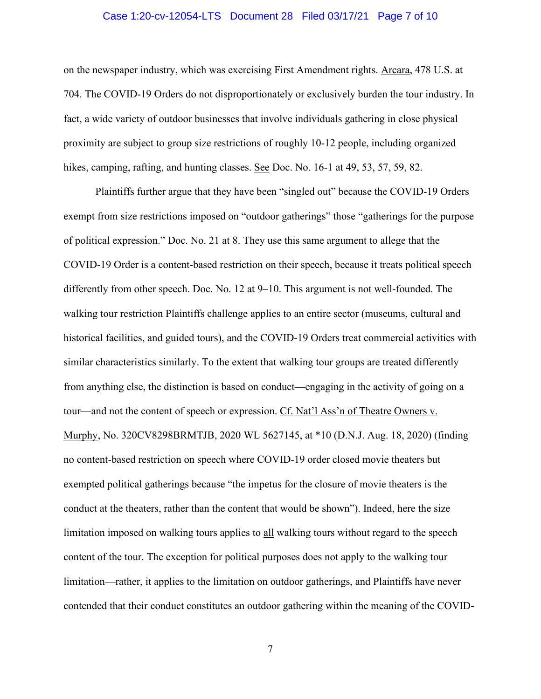#### Case 1:20-cv-12054-LTS Document 28 Filed 03/17/21 Page 7 of 10

on the newspaper industry, which was exercising First Amendment rights. Arcara, 478 U.S. at 704. The COVID-19 Orders do not disproportionately or exclusively burden the tour industry. In fact, a wide variety of outdoor businesses that involve individuals gathering in close physical proximity are subject to group size restrictions of roughly 10-12 people, including organized hikes, camping, rafting, and hunting classes. See Doc. No. 16-1 at 49, 53, 57, 59, 82.

Plaintiffs further argue that they have been "singled out" because the COVID-19 Orders exempt from size restrictions imposed on "outdoor gatherings" those "gatherings for the purpose of political expression." Doc. No. 21 at 8. They use this same argument to allege that the COVID-19 Order is a content-based restriction on their speech, because it treats political speech differently from other speech. Doc. No. 12 at 9–10. This argument is not well-founded. The walking tour restriction Plaintiffs challenge applies to an entire sector (museums, cultural and historical facilities, and guided tours), and the COVID-19 Orders treat commercial activities with similar characteristics similarly. To the extent that walking tour groups are treated differently from anything else, the distinction is based on conduct—engaging in the activity of going on a tour—and not the content of speech or expression. Cf. Nat'l Ass'n of Theatre Owners v. Murphy, No. 320CV8298BRMTJB, 2020 WL 5627145, at \*10 (D.N.J. Aug. 18, 2020) (finding no content-based restriction on speech where COVID-19 order closed movie theaters but exempted political gatherings because "the impetus for the closure of movie theaters is the conduct at the theaters, rather than the content that would be shown"). Indeed, here the size limitation imposed on walking tours applies to all walking tours without regard to the speech content of the tour. The exception for political purposes does not apply to the walking tour limitation—rather, it applies to the limitation on outdoor gatherings, and Plaintiffs have never contended that their conduct constitutes an outdoor gathering within the meaning of the COVID-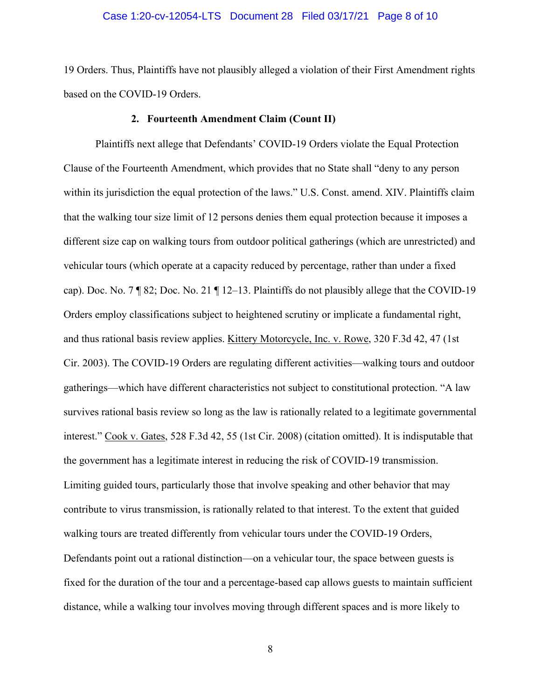#### Case 1:20-cv-12054-LTS Document 28 Filed 03/17/21 Page 8 of 10

19 Orders. Thus, Plaintiffs have not plausibly alleged a violation of their First Amendment rights based on the COVID-19 Orders.

#### **2. Fourteenth Amendment Claim (Count II)**

Plaintiffs next allege that Defendants' COVID-19 Orders violate the Equal Protection Clause of the Fourteenth Amendment, which provides that no State shall "deny to any person within its jurisdiction the equal protection of the laws." U.S. Const. amend. XIV. Plaintiffs claim that the walking tour size limit of 12 persons denies them equal protection because it imposes a different size cap on walking tours from outdoor political gatherings (which are unrestricted) and vehicular tours (which operate at a capacity reduced by percentage, rather than under a fixed cap). Doc. No. 7 ¶ 82; Doc. No. 21 ¶ 12–13. Plaintiffs do not plausibly allege that the COVID-19 Orders employ classifications subject to heightened scrutiny or implicate a fundamental right, and thus rational basis review applies. Kittery Motorcycle, Inc. v. Rowe, 320 F.3d 42, 47 (1st Cir. 2003). The COVID-19 Orders are regulating different activities—walking tours and outdoor gatherings—which have different characteristics not subject to constitutional protection. "A law survives rational basis review so long as the law is rationally related to a legitimate governmental interest." Cook v. Gates, 528 F.3d 42, 55 (1st Cir. 2008) (citation omitted). It is indisputable that the government has a legitimate interest in reducing the risk of COVID-19 transmission. Limiting guided tours, particularly those that involve speaking and other behavior that may contribute to virus transmission, is rationally related to that interest. To the extent that guided walking tours are treated differently from vehicular tours under the COVID-19 Orders, Defendants point out a rational distinction—on a vehicular tour, the space between guests is fixed for the duration of the tour and a percentage-based cap allows guests to maintain sufficient distance, while a walking tour involves moving through different spaces and is more likely to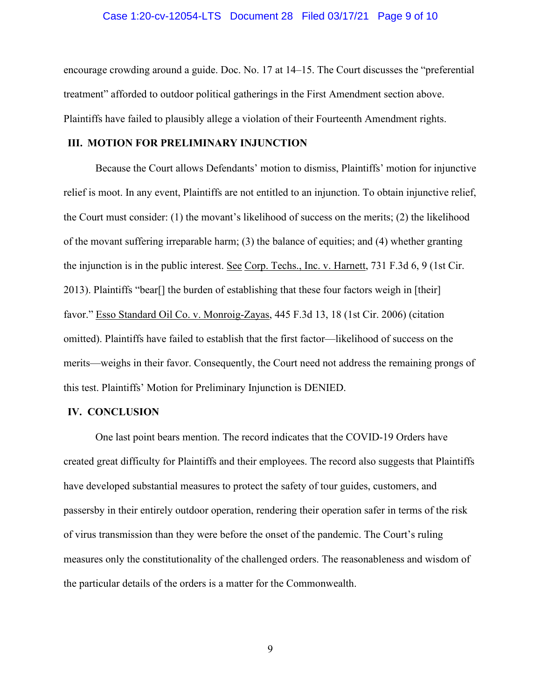#### Case 1:20-cv-12054-LTS Document 28 Filed 03/17/21 Page 9 of 10

encourage crowding around a guide. Doc. No. 17 at 14–15. The Court discusses the "preferential treatment" afforded to outdoor political gatherings in the First Amendment section above. Plaintiffs have failed to plausibly allege a violation of their Fourteenth Amendment rights.

#### **III. MOTION FOR PRELIMINARY INJUNCTION**

Because the Court allows Defendants' motion to dismiss, Plaintiffs' motion for injunctive relief is moot. In any event, Plaintiffs are not entitled to an injunction. To obtain injunctive relief, the Court must consider: (1) the movant's likelihood of success on the merits; (2) the likelihood of the movant suffering irreparable harm; (3) the balance of equities; and (4) whether granting the injunction is in the public interest. See Corp. Techs., Inc. v. Harnett, 731 F.3d 6, 9 (1st Cir. 2013). Plaintiffs "bear[] the burden of establishing that these four factors weigh in [their] favor." Esso Standard Oil Co. v. Monroig-Zayas, 445 F.3d 13, 18 (1st Cir. 2006) (citation omitted). Plaintiffs have failed to establish that the first factor—likelihood of success on the merits—weighs in their favor. Consequently, the Court need not address the remaining prongs of this test. Plaintiffs' Motion for Preliminary Injunction is DENIED.

### **IV. CONCLUSION**

One last point bears mention. The record indicates that the COVID-19 Orders have created great difficulty for Plaintiffs and their employees. The record also suggests that Plaintiffs have developed substantial measures to protect the safety of tour guides, customers, and passersby in their entirely outdoor operation, rendering their operation safer in terms of the risk of virus transmission than they were before the onset of the pandemic. The Court's ruling measures only the constitutionality of the challenged orders. The reasonableness and wisdom of the particular details of the orders is a matter for the Commonwealth.